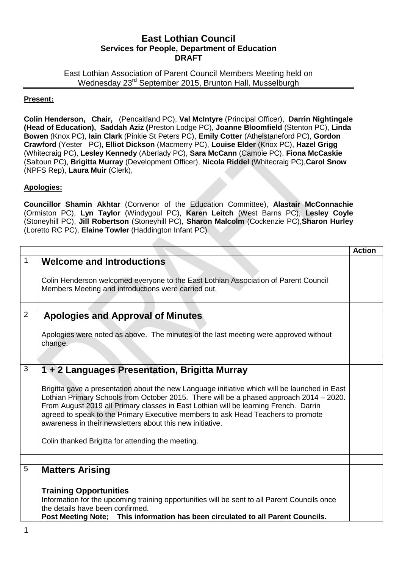## **East Lothian Council Services for People, Department of Education DRAFT**

East Lothian Association of Parent Council Members Meeting held on Wednesday 23<sup>rd</sup> September 2015, Brunton Hall, Musselburgh

## **Present:**

**Colin Henderson, Chair,** (Pencaitland PC), **Val McIntyre** (Principal Officer), **Darrin Nightingale (Head of Education), Saddah Aziz (**Preston Lodge PC), **Joanne Bloomfield** (Stenton PC), **Linda Bowen** (Knox PC), **Iain Clark** (Pinkie St Peters PC), **Emily Cotter** (Athelstaneford PC), **Gordon Crawford** (Yester PC), **Elliot Dickson** (Macmerry PC), **Louise Elder** (Knox PC), **Hazel Grigg** (Whitecraig PC), **Lesley Kennedy** (Aberlady PC), **Sara McCann** (Campie PC), **Fiona McCaskie**  (Saltoun PC), **Brigitta Murray** (Development Officer), **Nicola Riddel** (Whitecraig PC),**Carol Snow**  (NPFS Rep), **Laura Muir** (Clerk),

## **Apologies:**

**Councillor Shamin Akhtar** (Convenor of the Education Committee), **Alastair McConnachie** (Ormiston PC), **Lyn Taylor** (Windygoul PC), **Karen Leitch** (West Barns PC), **Lesley Coyle** (Stoneyhill PC), **Jill Robertson** (Stoneyhill PC), **Sharon Malcolm** (Cockenzie PC),**Sharon Hurley** (Loretto RC PC), **Elaine Towler** (Haddington Infant PC)

|              |                                                                                                                                                                                                                                                                                                                                                                                                                                                                                                                                         | <b>Action</b> |
|--------------|-----------------------------------------------------------------------------------------------------------------------------------------------------------------------------------------------------------------------------------------------------------------------------------------------------------------------------------------------------------------------------------------------------------------------------------------------------------------------------------------------------------------------------------------|---------------|
| $\mathbf{1}$ | <b>Welcome and Introductions</b>                                                                                                                                                                                                                                                                                                                                                                                                                                                                                                        |               |
|              | Colin Henderson welcomed everyone to the East Lothian Association of Parent Council<br>Members Meeting and introductions were carried out.                                                                                                                                                                                                                                                                                                                                                                                              |               |
|              |                                                                                                                                                                                                                                                                                                                                                                                                                                                                                                                                         |               |
| 2            | <b>Apologies and Approval of Minutes</b>                                                                                                                                                                                                                                                                                                                                                                                                                                                                                                |               |
|              | Apologies were noted as above. The minutes of the last meeting were approved without<br>change.                                                                                                                                                                                                                                                                                                                                                                                                                                         |               |
|              |                                                                                                                                                                                                                                                                                                                                                                                                                                                                                                                                         |               |
| 3            | 1 + 2 Languages Presentation, Brigitta Murray<br>Brigitta gave a presentation about the new Language initiative which will be launched in East<br>Lothian Primary Schools from October 2015. There will be a phased approach 2014 - 2020.<br>From August 2019 all Primary classes in East Lothian will be learning French. Darrin<br>agreed to speak to the Primary Executive members to ask Head Teachers to promote<br>awareness in their newsletters about this new initiative.<br>Colin thanked Brigitta for attending the meeting. |               |
|              |                                                                                                                                                                                                                                                                                                                                                                                                                                                                                                                                         |               |
| 5            | <b>Matters Arising</b><br><b>Training Opportunities</b><br>Information for the upcoming training opportunities will be sent to all Parent Councils once<br>the details have been confirmed.<br>Post Meeting Note; This information has been circulated to all Parent Councils.                                                                                                                                                                                                                                                          |               |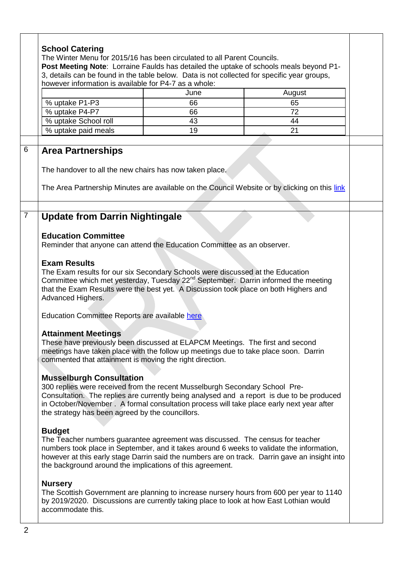|                                                                                                                                                                       |      | 3, details can be found in the table below. Data is not collected for specific year groups,    |
|-----------------------------------------------------------------------------------------------------------------------------------------------------------------------|------|------------------------------------------------------------------------------------------------|
| however information is available for P4-7 as a whole:                                                                                                                 |      |                                                                                                |
|                                                                                                                                                                       | June | August                                                                                         |
| % uptake P1-P3                                                                                                                                                        | 66   | 65                                                                                             |
| % uptake P4-P7                                                                                                                                                        | 66   | 72                                                                                             |
| % uptake School roll                                                                                                                                                  | 43   | 44                                                                                             |
| % uptake paid meals                                                                                                                                                   | 19   | 21                                                                                             |
| <b>Area Partnerships</b>                                                                                                                                              |      |                                                                                                |
| The handover to all the new chairs has now taken place.                                                                                                               |      |                                                                                                |
|                                                                                                                                                                       |      | The Area Partnership Minutes are available on the Council Website or by clicking on this link  |
|                                                                                                                                                                       |      |                                                                                                |
|                                                                                                                                                                       |      |                                                                                                |
| <b>Update from Darrin Nightingale</b>                                                                                                                                 |      |                                                                                                |
| <b>Education Committee</b>                                                                                                                                            |      |                                                                                                |
| Reminder that anyone can attend the Education Committee as an observer.                                                                                               |      |                                                                                                |
| <b>Exam Results</b>                                                                                                                                                   |      |                                                                                                |
| The Exam results for our six Secondary Schools were discussed at the Education                                                                                        |      |                                                                                                |
|                                                                                                                                                                       |      | Committee which met yesterday, Tuesday 22 <sup>nd</sup> September. Darrin informed the meeting |
|                                                                                                                                                                       |      | that the Exam Results were the best yet. A Discussion took place on both Highers and           |
| Advanced Highers.                                                                                                                                                     |      |                                                                                                |
|                                                                                                                                                                       |      |                                                                                                |
| Education Committee Reports are available here                                                                                                                        |      |                                                                                                |
|                                                                                                                                                                       |      |                                                                                                |
| <b>Attainment Meetings</b>                                                                                                                                            |      |                                                                                                |
| These have previously been discussed at ELAPCM Meetings. The first and second<br>meetings have taken place with the follow up meetings due to take place soon. Darrin |      |                                                                                                |
| commented that attainment is moving the right direction.                                                                                                              |      |                                                                                                |
|                                                                                                                                                                       |      |                                                                                                |
| <b>Musselburgh Consultation</b>                                                                                                                                       |      |                                                                                                |
| 300 replies were received from the recent Musselburgh Secondary School Pre-                                                                                           |      |                                                                                                |
|                                                                                                                                                                       |      | Consultation. The replies are currently being analysed and a report is due to be produced      |
|                                                                                                                                                                       |      | in October/November . A formal consultation process will take place early next year after      |
| the strategy has been agreed by the councillors.                                                                                                                      |      |                                                                                                |
|                                                                                                                                                                       |      |                                                                                                |
| <b>Budget</b>                                                                                                                                                         |      |                                                                                                |
| The Teacher numbers guarantee agreement was discussed. The census for teacher                                                                                         |      |                                                                                                |
|                                                                                                                                                                       |      | numbers took place in September, and it takes around 6 weeks to validate the information,      |
| the background around the implications of this agreement.                                                                                                             |      | however at this early stage Darrin said the numbers are on track. Darrin gave an insight into  |
|                                                                                                                                                                       |      |                                                                                                |
| <b>Nursery</b>                                                                                                                                                        |      |                                                                                                |
|                                                                                                                                                                       |      | The Scottish Government are planning to increase nursery hours from 600 per year to 1140       |
|                                                                                                                                                                       |      |                                                                                                |
|                                                                                                                                                                       |      | by 2019/2020. Discussions are currently taking place to look at how East Lothian would         |
| accommodate this.                                                                                                                                                     |      |                                                                                                |